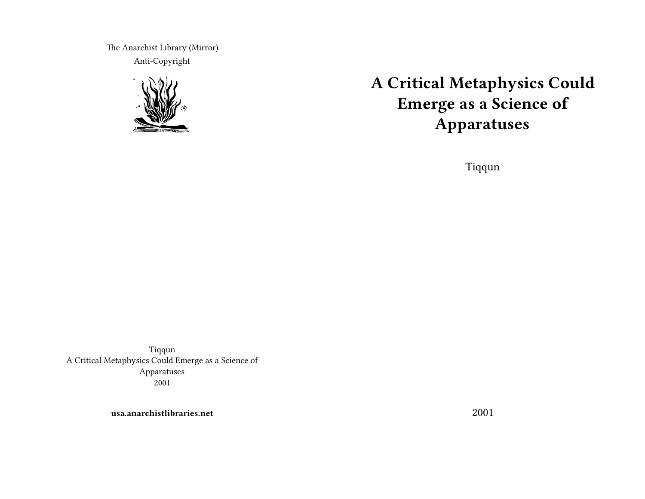The Anarchist Library (Mirror) Anti-Copyright



# **A Critical Metaphysics Could Emerge as a Science of Apparatuses**

Tiqqun

Tiqqun A Critical Metaphysics Could Emerge as a Science of Apparatuses 2001

**usa.anarchistlibraries.net**

2001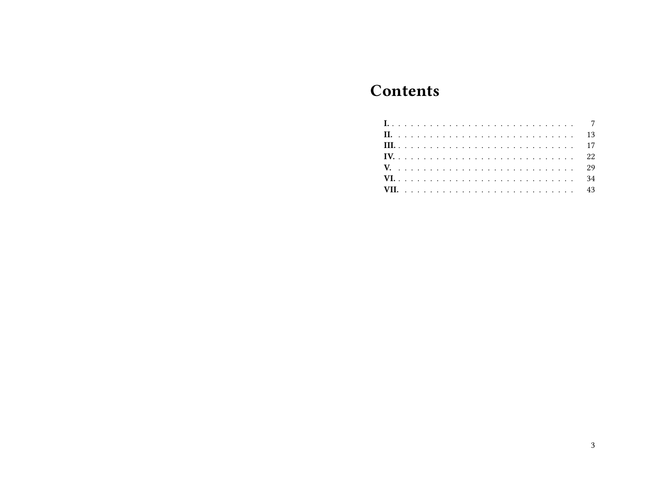# **Contents**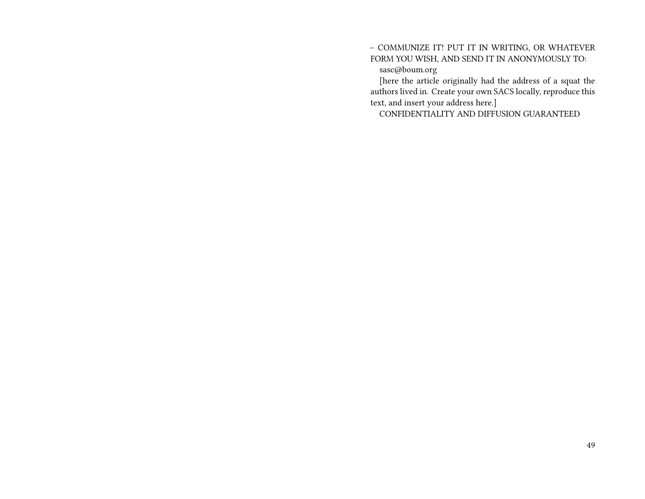#### – COMMUNIZE IT! PUT IT IN WRITING, OR WHATEVER FORM YOU WISH, AND SEND IT IN ANONYMOUSLY TO: sasc@boum.org

[here the article originally had the address of a squat the authors lived in. Create your own SACS locally, reproduce this text, and insert your address here.]

CONFIDENTIALITY AND DIFFUSION GUARANTEED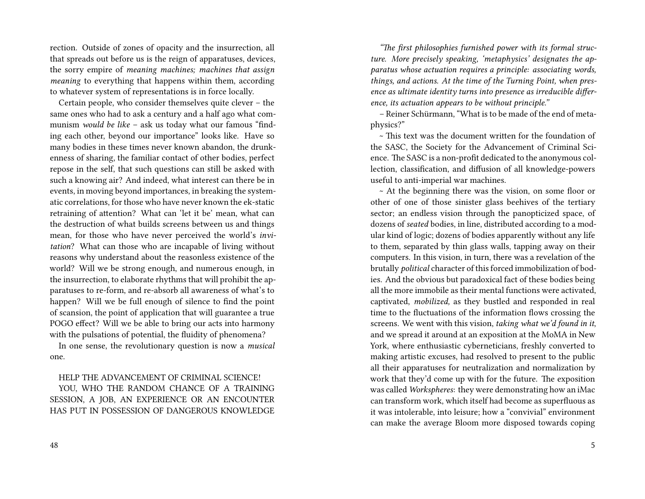rection. Outside of zones of opacity and the insurrection, all that spreads out before us is the reign of apparatuses, devices, the sorry empire of *meaning machines; machines that assign meaning* to everything that happens within them, according to whatever system of representations is in force locally.

Certain people, who consider themselves quite clever – the same ones who had to ask a century and a half ago what communism *would be like* – ask us today what our famous "finding each other, beyond our importance" looks like. Have so many bodies in these times never known abandon, the drunkenness of sharing, the familiar contact of other bodies, perfect repose in the self, that such questions can still be asked with such a knowing air? And indeed, what interest can there be in events, in moving beyond importances, in breaking the systematic correlations, for those who have never known the ek-static retraining of attention? What can 'let it be' mean, what can the destruction of what builds screens between us and things mean, for those who have never perceived the world's *invitation*? What can those who are incapable of living without reasons why understand about the reasonless existence of the world? Will we be strong enough, and numerous enough, in the insurrection, to elaborate rhythms that will prohibit the apparatuses to re-form, and re-absorb all awareness of what's to happen? Will we be full enough of silence to find the point of scansion, the point of application that will guarantee a true POGO effect? Will we be able to bring our acts into harmony with the pulsations of potential, the fluidity of phenomena?

In one sense, the revolutionary question is now a *musical* one.

#### HELP THE ADVANCEMENT OF CRIMINAL SCIENCE!

YOU, WHO THE RANDOM CHANCE OF A TRAINING SESSION, A JOB, AN EXPERIENCE OR AN ENCOUNTER HAS PUT IN POSSESSION OF DANGEROUS KNOWLEDGE

*"The first philosophies furnished power with its formal structure. More precisely speaking, 'metaphysics' designates the apparatus whose actuation requires a principle: associating words, things, and actions. At the time of the Turning Point, when presence as ultimate identity turns into presence as irreducible difference, its actuation appears to be without principle."*

– Reiner Schürmann, "What is to be made of the end of metaphysics?"

 $\sim$  This text was the document written for the foundation of the SASC, the Society for the Advancement of Criminal Science. The SASC is a non-profit dedicated to the anonymous collection, classification, and diffusion of all knowledge-powers useful to anti-imperial war machines.

~ At the beginning there was the vision, on some floor or other of one of those sinister glass beehives of the tertiary sector; an endless vision through the panopticized space, of dozens of *seated* bodies, in line, distributed according to a modular kind of logic; dozens of bodies apparently without any life to them, separated by thin glass walls, tapping away on their computers. In this vision, in turn, there was a revelation of the brutally *political* character of this forced immobilization of bodies. And the obvious but paradoxical fact of these bodies being all the more immobile as their mental functions were activated, captivated, *mobilized,* as they bustled and responded in real time to the fluctuations of the information flows crossing the screens. We went with this vision, *taking what we'd found in it*, and we spread it around at an exposition at the MoMA in New York, where enthusiastic cyberneticians, freshly converted to making artistic excuses, had resolved to present to the public all their apparatuses for neutralization and normalization by work that they'd come up with for the future. The exposition was called *Workspheres*: they were demonstrating how an iMac can transform work, which itself had become as superfluous as it was intolerable, into leisure; how a "convivial" environment can make the average Bloom more disposed towards coping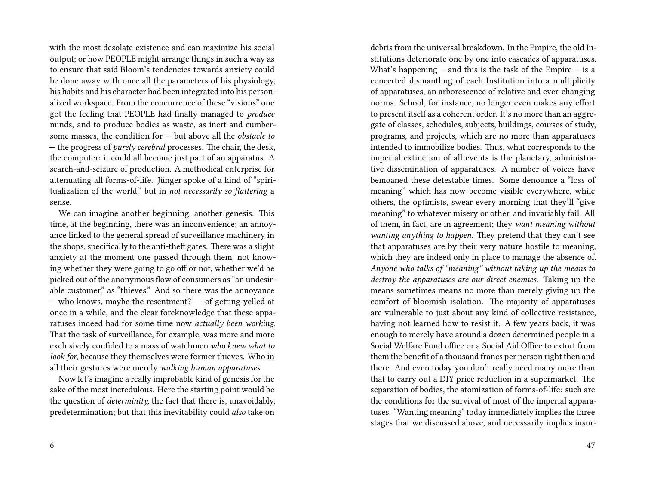with the most desolate existence and can maximize his social output; or how PEOPLE might arrange things in such a way as to ensure that said Bloom's tendencies towards anxiety could be done away with once all the parameters of his physiology, his habits and his character had been integrated into his personalized workspace. From the concurrence of these "visions" one got the feeling that PEOPLE had finally managed to *produce* minds, and to produce bodies as waste, as inert and cumbersome masses, the condition for — but above all the *obstacle to* — the progress of *purely cerebral* processes. The chair, the desk, the computer: it could all become just part of an apparatus. A search-and-seizure of production. A methodical enterprise for attenuating all forms-of-life. Jünger spoke of a kind of "spiritualization of the world," but in *not necessarily so flattering* a sense*.*

We can imagine another beginning, another genesis. This time, at the beginning, there was an inconvenience; an annoyance linked to the general spread of surveillance machinery in the shops, specifically to the anti-theft gates. There was a slight anxiety at the moment one passed through them, not knowing whether they were going to go off or not, whether we'd be picked out of the anonymous flow of consumers as "an undesirable customer," as "thieves." And so there was the annoyance — who knows, maybe the resentment? — of getting yelled at once in a while, and the clear foreknowledge that these apparatuses indeed had for some time now *actually been working*. That the task of surveillance, for example, was more and more exclusively confided to a mass of watchmen *who knew what to look for*, because they themselves were former thieves. Who in all their gestures were merely *walking human apparatuses.*

Now let's imagine a really improbable kind of genesis for the sake of the most incredulous. Here the starting point would be the question of *determinity,* the fact that there is, unavoidably, predetermination; but that this inevitability could *also* take on

debris from the universal breakdown. In the Empire, the old Institutions deteriorate one by one into cascades of apparatuses. What's happening – and this is the task of the Empire – is a concerted dismantling of each Institution into a multiplicity of apparatuses, an arborescence of relative and ever-changing norms. School, for instance, no longer even makes any effort to present itself as a coherent order. It's no more than an aggregate of classes, schedules, subjects, buildings, courses of study, programs, and projects, which are no more than apparatuses intended to immobilize bodies. Thus, what corresponds to the imperial extinction of all events is the planetary, administrative dissemination of apparatuses. A number of voices have bemoaned these detestable times. Some denounce a "loss of meaning" which has now become visible everywhere, while others, the optimists, swear every morning that they'll "give meaning" to whatever misery or other, and invariably fail. All of them, in fact, are in agreement; they *want meaning without wanting anything to happen.* They pretend that they can't see that apparatuses are by their very nature hostile to meaning, which they are indeed only in place to manage the absence of. *Anyone who talks of "meaning" without taking up the means to destroy the apparatuses are our direct enemies.* Taking up the means sometimes means no more than merely giving up the comfort of bloomish isolation. The majority of apparatuses are vulnerable to just about any kind of collective resistance, having not learned how to resist it. A few years back, it was enough to merely have around a dozen determined people in a Social Welfare Fund office or a Social Aid Office to extort from them the benefit of a thousand francs per person right then and there. And even today you don't really need many more than that to carry out a DIY price reduction in a supermarket. The separation of bodies, the atomization of forms-of-life: such are the conditions for the survival of most of the imperial apparatuses. "Wanting meaning" today immediately implies the three stages that we discussed above, and necessarily implies insur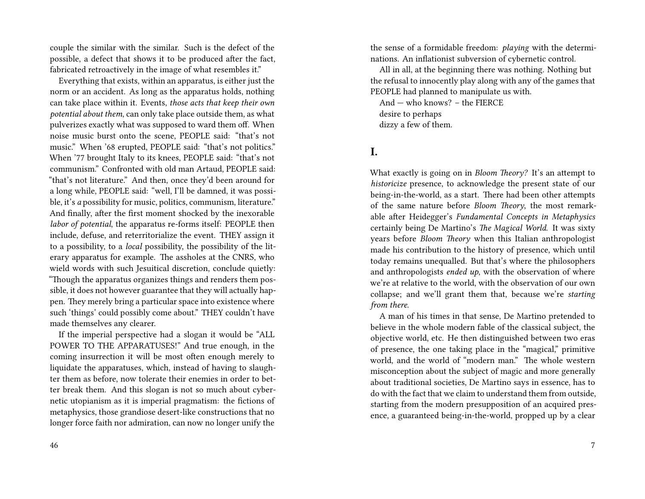couple the similar with the similar. Such is the defect of the possible, a defect that shows it to be produced after the fact, fabricated retroactively in the image of what resembles it."

Everything that exists, within an apparatus, is either just the norm or an accident. As long as the apparatus holds, nothing can take place within it. Events, *those acts that keep their own potential about them*, can only take place outside them, as what pulverizes exactly what was supposed to ward them off. When noise music burst onto the scene, PEOPLE said: "that's not music." When '68 erupted, PEOPLE said: "that's not politics." When '77 brought Italy to its knees, PEOPLE said: "that's not communism." Confronted with old man Artaud, PEOPLE said: "that's not literature." And then, once they'd been around for a long while, PEOPLE said: "well, I'll be damned, it was possible, it's *a* possibility for music, politics, communism, literature." And finally, after the first moment shocked by the inexorable *labor of potential*, the apparatus re-forms itself: PEOPLE then include, defuse, and reterritorialize the event. THEY assign it to a possibility, to a *local* possibility, the possibility of the literary apparatus for example. The assholes at the CNRS, who wield words with such Jesuitical discretion, conclude quietly: "Though the apparatus organizes things and renders them possible, it does not however guarantee that they will actually happen. They merely bring a particular space into existence where such 'things' could possibly come about." THEY couldn't have made themselves any clearer.

If the imperial perspective had a slogan it would be "ALL POWER TO THE APPARATUSES!" And true enough, in the coming insurrection it will be most often enough merely to liquidate the apparatuses, which, instead of having to slaughter them as before, now tolerate their enemies in order to better break them. And this slogan is not so much about cybernetic utopianism as it is imperial pragmatism: the fictions of metaphysics, those grandiose desert-like constructions that no longer force faith nor admiration, can now no longer unify the

the sense of a formidable freedom: *playing* with the determinations. An inflationist subversion of cybernetic control.

All in all, at the beginning there was nothing. Nothing but the refusal to innocently play along with any of the games that PEOPLE had planned to manipulate us with.

And — who knows? – the FIERCE desire to perhaps dizzy a few of them.

#### **I.**

What exactly is going on in *Bloom Theory?* It's an attempt to *historicize* presence, to acknowledge the present state of our being-in-the-world, as a start. There had been other attempts of the same nature before *Bloom Theory*, the most remarkable after Heidegger's *Fundamental Concepts in Metaphysics* certainly being De Martino's *The Magical World*. It was sixty years before *Bloom Theory* when this Italian anthropologist made his contribution to the history of presence, which until today remains unequalled. But that's where the philosophers and anthropologists *ended up*, with the observation of where we're at relative to the world, with the observation of our own collapse; and we'll grant them that, because we're *starting from there.*

A man of his times in that sense, De Martino pretended to believe in the whole modern fable of the classical subject, the objective world, etc. He then distinguished between two eras of presence, the one taking place in the "magical," primitive world, and the world of "modern man." The whole western misconception about the subject of magic and more generally about traditional societies, De Martino says in essence, has to do with the fact that we claim to understand them from outside, starting from the modern presupposition of an acquired presence, a guaranteed being-in-the-world, propped up by a clear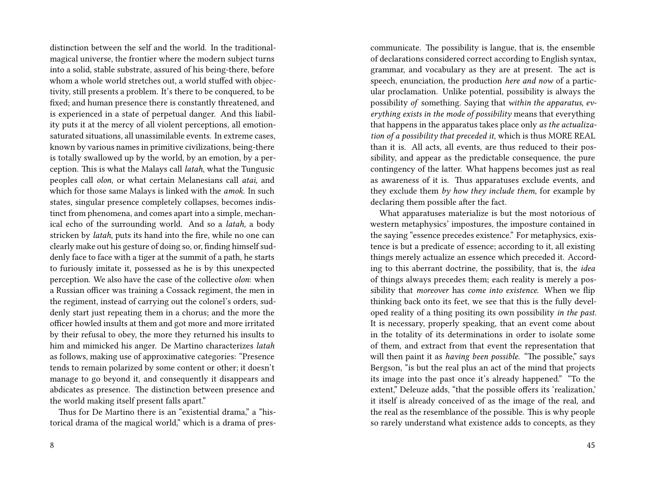distinction between the self and the world. In the traditionalmagical universe, the frontier where the modern subject turns into a solid, stable substrate, assured of his being-there, before whom a whole world stretches out, a world stuffed with objectivity, still presents a problem. It's there to be conquered, to be fixed; and human presence there is constantly threatened, and is experienced in a state of perpetual danger. And this liability puts it at the mercy of all violent perceptions, all emotionsaturated situations, all unassimilable events. In extreme cases, known by various names in primitive civilizations, being-there is totally swallowed up by the world, by an emotion, by a perception. This is what the Malays call *latah*, what the Tungusic peoples call *olon*, or what certain Melanesians call *atai,* and which for those same Malays is linked with the *amok*. In such states, singular presence completely collapses, becomes indistinct from phenomena, and comes apart into a simple, mechanical echo of the surrounding world. And so a *latah,* a body stricken by *latah*, puts its hand into the fire, while no one can clearly make out his gesture of doing so, or, finding himself suddenly face to face with a tiger at the summit of a path, he starts to furiously imitate it, possessed as he is by this unexpected perception. We also have the case of the collective *olon*: when a Russian officer was training a Cossack regiment, the men in the regiment, instead of carrying out the colonel's orders, suddenly start just repeating them in a chorus; and the more the officer howled insults at them and got more and more irritated by their refusal to obey, the more they returned his insults to him and mimicked his anger. De Martino characterizes *latah* as follows, making use of approximative categories: "Presence tends to remain polarized by some content or other; it doesn't manage to go beyond it, and consequently it disappears and abdicates as presence. The distinction between presence and the world making itself present falls apart."

Thus for De Martino there is an "existential drama," a "historical drama of the magical world," which is a drama of prescommunicate. The possibility is langue, that is, the ensemble of declarations considered correct according to English syntax, grammar, and vocabulary as they are at present. The act is speech, enunciation, the production *here and now* of a particular proclamation. Unlike potential, possibility is always the possibility *of* something. Saying that *within the apparatus, everything exists in the mode of possibility* means that everything that happens in the apparatus takes place only *as the actualization of a possibility that preceded it*, which is thus MORE REAL than it is. All acts, all events, are thus reduced to their possibility, and appear as the predictable consequence, the pure contingency of the latter. What happens becomes just as real as awareness of it is. Thus apparatuses exclude events, and they exclude them *by how they include them*, for example by declaring them possible after the fact.

What apparatuses materialize is but the most notorious of western metaphysics' impostures, the imposture contained in the saying "essence precedes existence." For metaphysics, existence is but a predicate of essence; according to it, all existing things merely actualize an essence which preceded it. According to this aberrant doctrine, the possibility, that is, the *idea* of things always precedes them; each reality is merely a possibility that *moreover* has *come into existence.* When we flip thinking back onto its feet, we see that this is the fully developed reality of a thing positing its own possibility *in the past.* It is necessary, properly speaking, that an event come about in the totality of its determinations in order to isolate some of them, and extract from that event the representation that will then paint it as *having been possible*. "The possible," says Bergson, "is but the real plus an act of the mind that projects its image into the past once it's already happened." "To the extent," Deleuze adds, "that the possible offers its 'realization,' it itself is already conceived of as the image of the real, and the real as the resemblance of the possible. This is why people so rarely understand what existence adds to concepts, as they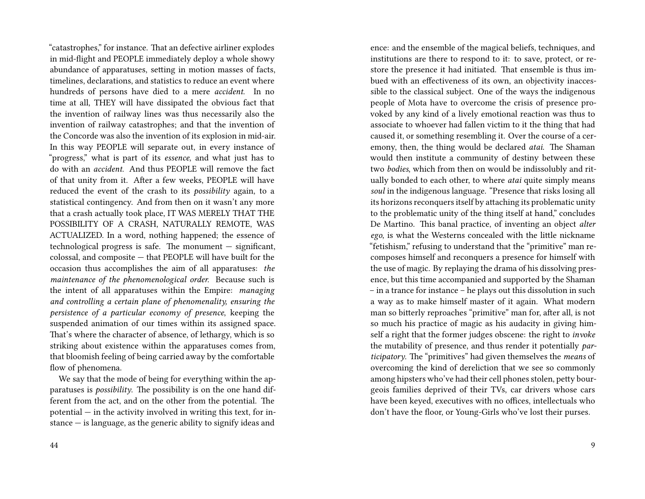"catastrophes," for instance. That an defective airliner explodes in mid-flight and PEOPLE immediately deploy a whole showy abundance of apparatuses, setting in motion masses of facts, timelines, declarations, and statistics to reduce an event where hundreds of persons have died to a mere *accident*. In no time at all, THEY will have dissipated the obvious fact that the invention of railway lines was thus necessarily also the invention of railway catastrophes; and that the invention of the Concorde was also the invention of its explosion in mid-air. In this way PEOPLE will separate out, in every instance of "progress," what is part of its *essence*, and what just has to do with an *accident.* And thus PEOPLE will remove the fact of that unity from it. After a few weeks, PEOPLE will have reduced the event of the crash to its *possibility* again, to a statistical contingency. And from then on it wasn't any more that a crash actually took place, IT WAS MERELY THAT THE POSSIBILITY OF A CRASH, NATURALLY REMOTE, WAS ACTUALIZED. In a word, nothing happened; the essence of technological progress is safe. The monument — significant, colossal, and composite — that PEOPLE will have built for the occasion thus accomplishes the aim of all apparatuses: *the maintenance of the phenomenological order.* Because such is the intent of all apparatuses within the Empire: *managing and controlling a certain plane of phenomenality, ensuring the persistence of a particular economy of presence*, keeping the suspended animation of our times within its assigned space. That's where the character of absence, of lethargy, which is so striking about existence within the apparatuses comes from, that bloomish feeling of being carried away by the comfortable flow of phenomena.

We say that the mode of being for everything within the apparatuses is *possibility*. The possibility is on the one hand different from the act, and on the other from the potential. The potential — in the activity involved in writing this text, for instance — is language, as the generic ability to signify ideas and

ence: and the ensemble of the magical beliefs, techniques, and institutions are there to respond to it: to save, protect, or restore the presence it had initiated. That ensemble is thus imbued with an effectiveness of its own, an objectivity inaccessible to the classical subject. One of the ways the indigenous people of Mota have to overcome the crisis of presence provoked by any kind of a lively emotional reaction was thus to associate to whoever had fallen victim to it the thing that had caused it, or something resembling it. Over the course of a ceremony, then, the thing would be declared *atai*. The Shaman would then institute a community of destiny between these two *bodies*, which from then on would be indissolubly and ritually bonded to each other, to where *atai* quite simply means *soul* in the indigenous language. "Presence that risks losing all its horizons reconquers itself by attaching its problematic unity to the problematic unity of the thing itself at hand," concludes De Martino. This banal practice, of inventing an object *alter ego*, is what the Westerns concealed with the little nickname "fetishism," refusing to understand that the "primitive" man recomposes himself and reconquers a presence for himself with the use of magic. By replaying the drama of his dissolving presence, but this time accompanied and supported by the Shaman – in a trance for instance – he plays out this dissolution in such a way as to make himself master of it again. What modern man so bitterly reproaches "primitive" man for, after all, is not so much his practice of magic as his audacity in giving himself a right that the former judges obscene: the right to *invoke* the mutability of presence, and thus render it potentially *participatory*. The "primitives" had given themselves the *means* of overcoming the kind of dereliction that we see so commonly among hipsters who've had their cell phones stolen, petty bourgeois families deprived of their TVs, car drivers whose cars have been keyed, executives with no offices, intellectuals who don't have the floor, or Young-Girls who've lost their purses.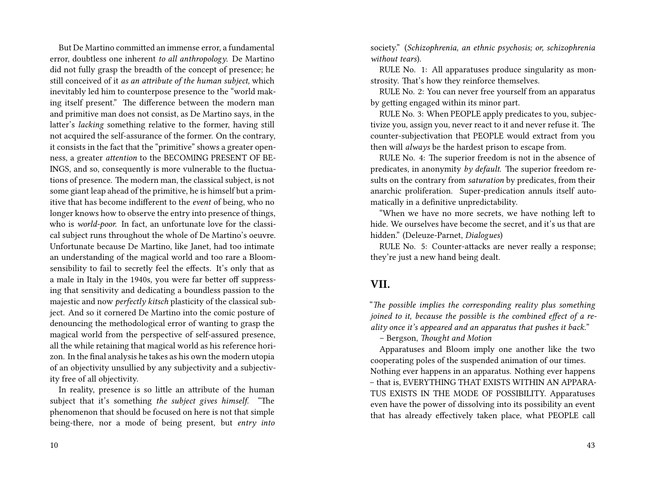But De Martino committed an immense error, a fundamental error, doubtless one inherent *to all anthropology*. De Martino did not fully grasp the breadth of the concept of presence; he still conceived of it *as an attribute of the human subject*, which inevitably led him to counterpose presence to the "world making itself present." The difference between the modern man and primitive man does not consist, as De Martino says, in the latter's *lacking* something relative to the former, having still not acquired the self-assurance of the former. On the contrary, it consists in the fact that the "primitive" shows a greater openness, a greater *attention* to the BECOMING PRESENT OF BE-INGS, and so, consequently is more vulnerable to the fluctuations of presence. The modern man, the classical subject, is not some giant leap ahead of the primitive, he is himself but a primitive that has become indifferent to the *event* of being, who no longer knows how to observe the entry into presence of things, who is *world-poor.* In fact, an unfortunate love for the classical subject runs throughout the whole of De Martino's oeuvre. Unfortunate because De Martino, like Janet, had too intimate an understanding of the magical world and too rare a Bloomsensibility to fail to secretly feel the effects. It's only that as a male in Italy in the 1940s, you were far better off suppressing that sensitivity and dedicating a boundless passion to the majestic and now *perfectly kitsch* plasticity of the classical subject. And so it cornered De Martino into the comic posture of denouncing the methodological error of wanting to grasp the magical world from the perspective of self-assured presence, all the while retaining that magical world as his reference horizon. In the final analysis he takes as his own the modern utopia of an objectivity unsullied by any subjectivity and a subjectivity free of all objectivity.

In reality, presence is so little an attribute of the human subject that it's something *the subject gives himself*. "The phenomenon that should be focused on here is not that simple being-there, nor a mode of being present, but *entry into* society." (*Schizophrenia, an ethnic psychosis; or, schizophrenia without tears*).

RULE No. 1: All apparatuses produce singularity as monstrosity. That's how they reinforce themselves.

RULE No. 2: You can never free yourself from an apparatus by getting engaged within its minor part.

RULE No. 3: When PEOPLE apply predicates to you, subjectivize you, assign you, never react to it and never refuse it. The counter-subjectivation that PEOPLE would extract from you then will *always* be the hardest prison to escape from.

RULE No. 4: The superior freedom is not in the absence of predicates, in anonymity *by default*. The superior freedom results on the contrary from *saturation* by predicates, from their anarchic proliferation. Super-predication annuls itself automatically in a definitive unpredictability.

"When we have no more secrets, we have nothing left to hide. We ourselves have become the secret, and it's us that are hidden." (Deleuze-Parnet, *Dialogues*)

RULE No. 5: Counter-attacks are never really a response; they're just a new hand being dealt.

### **VII.**

"*The possible implies the corresponding reality plus something joined to it, because the possible is the combined effect of a reality once it's appeared and an apparatus that pushes it back.*"

– Bergson, *Thought and Motion*

Apparatuses and Bloom imply one another like the two cooperating poles of the suspended animation of our times. Nothing ever happens in an apparatus. Nothing ever happens – that is, EVERYTHING THAT EXISTS WITHIN AN APPARA-TUS EXISTS IN THE MODE OF POSSIBILITY. Apparatuses even have the power of dissolving into its possibility an event that has already effectively taken place, what PEOPLE call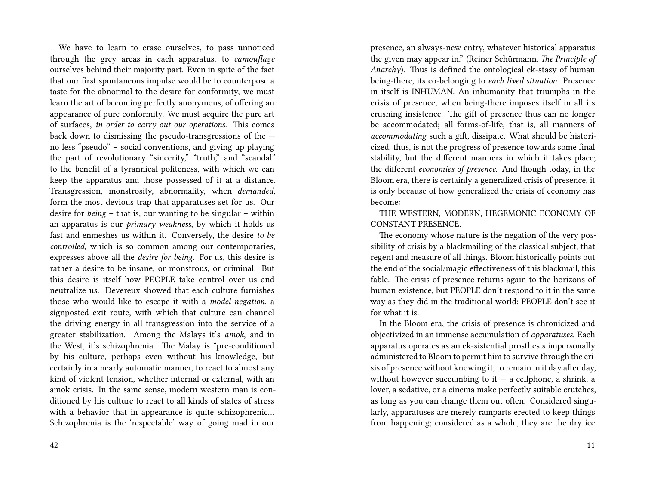We have to learn to erase ourselves, to pass unnoticed through the grey areas in each apparatus, to *camouflage* ourselves behind their majority part. Even in spite of the fact that our first spontaneous impulse would be to counterpose a taste for the abnormal to the desire for conformity, we must learn the art of becoming perfectly anonymous, of offering an appearance of pure conformity. We must acquire the pure art of surfaces, *in order to carry out our operations*. This comes back down to dismissing the pseudo-transgressions of the no less "pseudo" – social conventions, and giving up playing the part of revolutionary "sincerity," "truth," and "scandal" to the benefit of a tyrannical politeness, with which we can keep the apparatus and those possessed of it at a distance. Transgression, monstrosity, abnormality, when *demanded*, form the most devious trap that apparatuses set for us. Our desire for *being* – that is, our wanting to be singular – within an apparatus is our *primary weakness*, by which it holds us fast and enmeshes us within it. Conversely, the desire *to be controlled*, which is so common among our contemporaries, expresses above all the *desire for being*. For us, this desire is rather a desire to be insane, or monstrous, or criminal. But this desire is itself how PEOPLE take control over us and neutralize us. Devereux showed that each culture furnishes those who would like to escape it with a *model negation*, a signposted exit route, with which that culture can channel the driving energy in all transgression into the service of a greater stabilization. Among the Malays it's *amok*, and in the West, it's schizophrenia. The Malay is "pre-conditioned by his culture, perhaps even without his knowledge, but certainly in a nearly automatic manner, to react to almost any kind of violent tension, whether internal or external, with an amok crisis. In the same sense, modern western man is conditioned by his culture to react to all kinds of states of stress with a behavior that in appearance is quite schizophrenic… Schizophrenia is the 'respectable' way of going mad in our

presence, an always-new entry, whatever historical apparatus the given may appear in." (Reiner Schürmann, *The Principle of Anarchy*). Thus is defined the ontological ek-stasy of human being-there, its co-belonging to *each lived situation*. Presence in itself is INHUMAN. An inhumanity that triumphs in the crisis of presence, when being-there imposes itself in all its crushing insistence. The gift of presence thus can no longer be accommodated; all forms-of-life, that is, all manners of *accommodating* such a gift, dissipate. What should be historicized, thus, is not the progress of presence towards some final stability, but the different manners in which it takes place; the different *economies of presence*. And though today, in the Bloom era, there is certainly a generalized crisis of presence, it is only because of how generalized the crisis of economy has become:

THE WESTERN, MODERN, HEGEMONIC ECONOMY OF CONSTANT PRESENCE.

The economy whose nature is the negation of the very possibility of crisis by a blackmailing of the classical subject, that regent and measure of all things. Bloom historically points out the end of the social/magic effectiveness of this blackmail, this fable. The crisis of presence returns again to the horizons of human existence, but PEOPLE don't respond to it in the same way as they did in the traditional world; PEOPLE don't see it for what it is.

In the Bloom era, the crisis of presence is chronicized and objectivized in an immense accumulation of *apparatuses*. Each apparatus operates as an ek-sistential prosthesis impersonally administered to Bloom to permit him to survive through the crisis of presence without knowing it; to remain in it day after day, without however succumbing to it  $-$  a cellphone, a shrink, a lover, a sedative, or a cinema make perfectly suitable crutches, as long as you can change them out often. Considered singularly, apparatuses are merely ramparts erected to keep things from happening; considered as a whole, they are the dry ice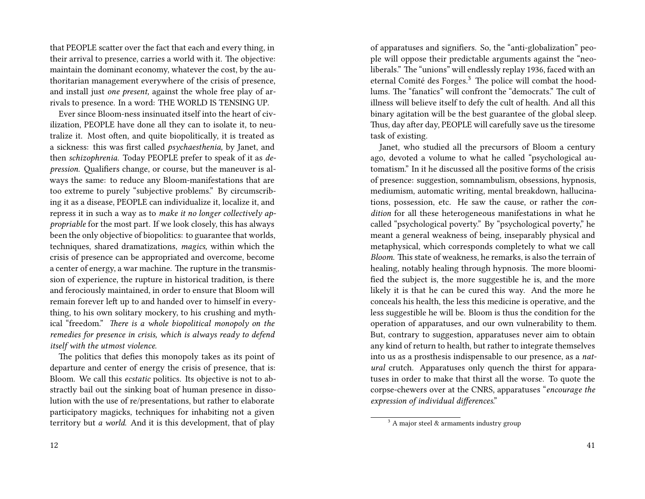that PEOPLE scatter over the fact that each and every thing, in their arrival to presence, carries a world with it. The objective: maintain the dominant economy, whatever the cost, by the authoritarian management everywhere of the crisis of presence, and install just *one present,* against the whole free play of arrivals to presence. In a word: THE WORLD IS TENSING UP.

Ever since Bloom-ness insinuated itself into the heart of civilization, PEOPLE have done all they can to isolate it, to neutralize it. Most often, and quite biopolitically, it is treated as a sickness: this was first called *psychaesthenia,* by Janet, and then *schizophrenia.* Today PEOPLE prefer to speak of it as *depression*. Qualifiers change, or course, but the maneuver is always the same: to reduce any Bloom-manifestations that are too extreme to purely "subjective problems." By circumscribing it as a disease, PEOPLE can individualize it, localize it, and repress it in such a way as to *make it no longer collectively appropriable* for the most part. If we look closely, this has always been the only objective of biopolitics: to guarantee that worlds, techniques, shared dramatizations, *magics,* within which the crisis of presence can be appropriated and overcome, become a center of energy, a war machine. The rupture in the transmission of experience, the rupture in historical tradition, is there and ferociously maintained, in order to ensure that Bloom will remain forever left up to and handed over to himself in everything, to his own solitary mockery, to his crushing and mythical "freedom." *There is a whole biopolitical monopoly on the remedies for presence in crisis, which is always ready to defend itself with the utmost violence.*

The politics that defies this monopoly takes as its point of departure and center of energy the crisis of presence, that is: Bloom. We call this *ecstatic* politics. Its objective is not to abstractly bail out the sinking boat of human presence in dissolution with the use of re/presentations, but rather to elaborate participatory magicks, techniques for inhabiting not a given territory but *a world*. And it is this development, that of play

of apparatuses and signifiers. So, the "anti-globalization" people will oppose their predictable arguments against the "neoliberals." The "unions" will endlessly replay 1936, faced with an eternal Comité des Forges.<sup>3</sup> The police will combat the hoodlums. The "fanatics" will confront the "democrats." The cult of illness will believe itself to defy the cult of health. And all this binary agitation will be the best guarantee of the global sleep. Thus, day after day, PEOPLE will carefully save us the tiresome task of existing.

Janet, who studied all the precursors of Bloom a century ago, devoted a volume to what he called "psychological automatism." In it he discussed all the positive forms of the crisis of presence: suggestion, somnambulism, obsessions, hypnosis, mediumism, automatic writing, mental breakdown, hallucinations, possession, etc. He saw the cause, or rather the *condition* for all these heterogeneous manifestations in what he called "psychological poverty." By "psychological poverty," he meant a general weakness of being, inseparably physical and metaphysical, which corresponds completely to what we call *Bloom*. This state of weakness, he remarks, is also the terrain of healing, notably healing through hypnosis. The more bloomified the subject is, the more suggestible he is, and the more likely it is that he can be cured this way. And the more he conceals his health, the less this medicine is operative, and the less suggestible he will be. Bloom is thus the condition for the operation of apparatuses, and our own vulnerability to them. But, contrary to suggestion, apparatuses never aim to obtain any kind of return to health, but rather to integrate themselves into us as a prosthesis indispensable to our presence, as a *natural* crutch. Apparatuses only quench the thirst for apparatuses in order to make that thirst all the worse. To quote the corpse-chewers over at the CNRS, apparatuses "*encourage the expression of individual differences*."

 $3$  A major steel & armaments industry group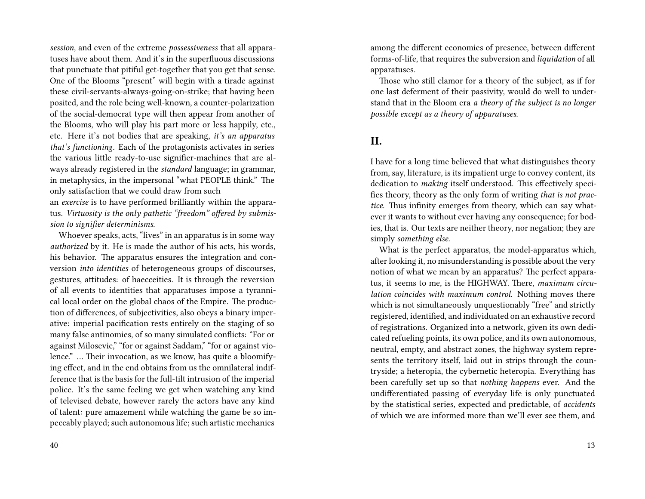*session,* and even of the extreme *possessiveness* that all apparatuses have about them. And it's in the superfluous discussions that punctuate that pitiful get-together that you get that sense. One of the Blooms "present" will begin with a tirade against these civil-servants-always-going-on-strike; that having been posited, and the role being well-known, a counter-polarization of the social-democrat type will then appear from another of the Blooms, who will play his part more or less happily, etc., etc. Here it's not bodies that are speaking, *it's an apparatus that's functioning*. Each of the protagonists activates in series the various little ready-to-use signifier-machines that are always already registered in the *standard* language; in grammar, in metaphysics, in the impersonal "what PEOPLE think." The only satisfaction that we could draw from such

an *exercise* is to have performed brilliantly within the apparatus. *Virtuosity is the only pathetic "freedom" offered by submission to signifier determinisms.*

Whoever speaks, acts, "lives" in an apparatus is in some way *authorized* by it. He is made the author of his acts, his words, his behavior. The apparatus ensures the integration and conversion *into identities* of heterogeneous groups of discourses, gestures, attitudes: of haecceities. It is through the reversion of all events to identities that apparatuses impose a tyrannical local order on the global chaos of the Empire. The production of differences, of subjectivities, also obeys a binary imperative: imperial pacification rests entirely on the staging of so many false antinomies, of so many simulated conflicts: "For or against Milosevic," "for or against Saddam," "for or against violence." … Their invocation, as we know, has quite a bloomifying effect, and in the end obtains from us the omnilateral indifference that is the basis for the full-tilt intrusion of the imperial police. It's the same feeling we get when watching any kind of televised debate, however rarely the actors have any kind of talent: pure amazement while watching the game be so impeccably played; such autonomous life; such artistic mechanics

among the different economies of presence, between different forms-of-life, that requires the subversion and *liquidation* of all apparatuses.

Those who still clamor for a theory of the subject, as if for one last deferment of their passivity, would do well to understand that in the Bloom era *a theory of the subject is no longer possible except as a theory of apparatuses.*

## **II.**

I have for a long time believed that what distinguishes theory from, say, literature, is its impatient urge to convey content, its dedication to *making* itself understood. This effectively specifies theory, theory as the only form of writing *that is not practice*. Thus infinity emerges from theory, which can say whatever it wants to without ever having any consequence; for bodies, that is. Our texts are neither theory, nor negation; they are simply *something else.*

What is the perfect apparatus, the model-apparatus which, after looking it, no misunderstanding is possible about the very notion of what we mean by an apparatus? The perfect apparatus, it seems to me, is the HIGHWAY. There, *maximum circulation coincides with maximum control*. Nothing moves there which is not simultaneously unquestionably "free" and strictly registered, identified, and individuated on an exhaustive record of registrations. Organized into a network, given its own dedicated refueling points, its own police, and its own autonomous, neutral, empty, and abstract zones, the highway system represents the territory itself, laid out in strips through the countryside; a heteropia, the cybernetic heteropia. Everything has been carefully set up so that *nothing happens* ever. And the undifferentiated passing of everyday life is only punctuated by the statistical series, expected and predictable, of *accidents* of which we are informed more than we'll ever see them, and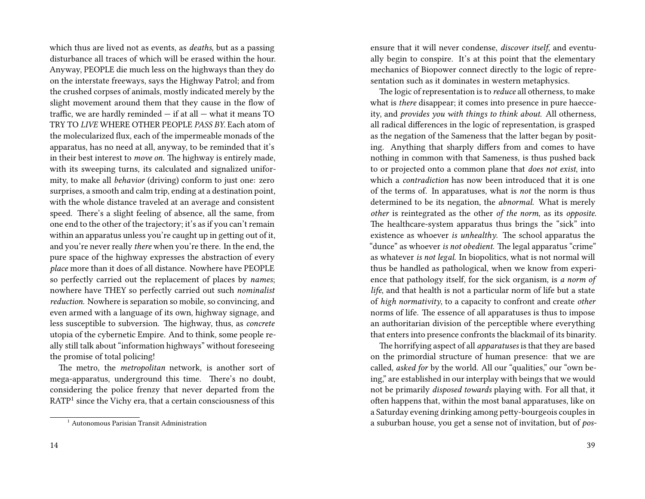which thus are lived not as events, as *deaths*, but as a passing disturbance all traces of which will be erased within the hour. Anyway, PEOPLE die much less on the highways than they do on the interstate freeways, says the Highway Patrol; and from the crushed corpses of animals, mostly indicated merely by the slight movement around them that they cause in the flow of traffic, we are hardly reminded — if at all — what it means TO TRY TO *LIVE* WHERE OTHER PEOPLE *PASS BY.* Each atom of the molecularized flux, each of the impermeable monads of the apparatus, has no need at all, anyway, to be reminded that it's in their best interest to *move on.* The highway is entirely made, with its sweeping turns, its calculated and signalized uniformity, to make all *behavior* (driving) conform to just one: zero surprises, a smooth and calm trip, ending at a destination point, with the whole distance traveled at an average and consistent speed. There's a slight feeling of absence, all the same, from one end to the other of the trajectory; it's as if you can't remain within an apparatus unless you're caught up in getting out of it, and you're never really *there* when you're there. In the end, the pure space of the highway expresses the abstraction of every *place* more than it does of all distance. Nowhere have PEOPLE so perfectly carried out the replacement of places by *names*; nowhere have THEY so perfectly carried out such *nominalist reduction*. Nowhere is separation so mobile, so convincing, and even armed with a language of its own, highway signage, and less susceptible to subversion. The highway, thus, as *concrete* utopia of the cybernetic Empire. And to think, some people really still talk about "information highways" without foreseeing the promise of total policing!

The metro, the *metropolitan* network, is another sort of mega-apparatus, underground this time. There's no doubt, considering the police frenzy that never departed from the  $\mathrm{RATP}^1$  since the Vichy era, that a certain consciousness of this

ensure that it will never condense, *discover itself*, and eventually begin to conspire. It's at this point that the elementary mechanics of Biopower connect directly to the logic of representation such as it dominates in western metaphysics.

The logic of representation is to *reduce* all otherness, to make what is *there* disappear; it comes into presence in pure haecceity, and *provides you with things to think about.* All otherness, all radical differences in the logic of representation, is grasped as the negation of the Sameness that the latter began by positing. Anything that sharply differs from and comes to have nothing in common with that Sameness, is thus pushed back to or projected onto a common plane that *does not exist*, into which a *contradiction* has now been introduced that it is one of the terms of. In apparatuses, what is *not* the norm is thus determined to be its negation, the *abnormal.* What is merely *other* is reintegrated as the other *of the norm*, as its *opposite.* The healthcare-system apparatus thus brings the "sick" into existence as whoever *is unhealthy*. The school apparatus the "dunce" as whoever *is not obedient*. The legal apparatus "crime" as whatever *is not legal*. In biopolitics, what is not normal will thus be handled as pathological, when we know from experience that pathology itself, for the sick organism, is *a norm of life*, and that health is not a particular norm of life but a state of *high normativity*, to a capacity to confront and create *other* norms of life. The essence of all apparatuses is thus to impose an authoritarian division of the perceptible where everything that enters into presence confronts the blackmail of its binarity.

The horrifying aspect of all *apparatuses* is that they are based on the primordial structure of human presence: that we are called, *asked for* by the world. All our "qualities," our "own being," are established in our interplay with beings that we would not be primarily *disposed towards* playing with. For all that, it often happens that, within the most banal apparatuses, like on a Saturday evening drinking among petty-bourgeois couples in a suburban house, you get a sense not of invitation, but of *pos-*

<sup>&</sup>lt;sup>1</sup> Autonomous Parisian Transit Administration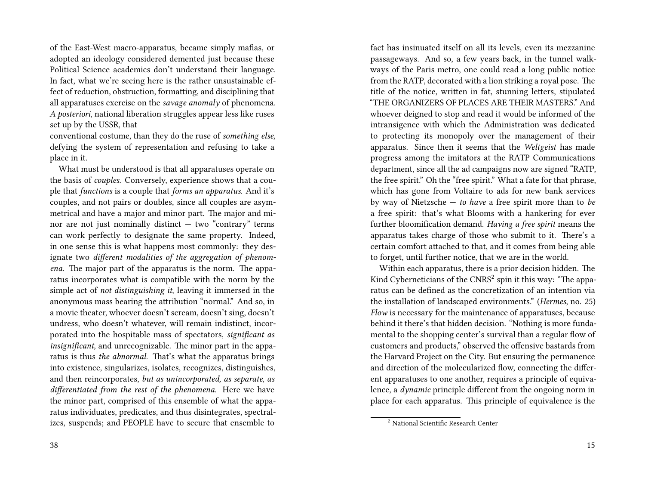of the East-West macro-apparatus, became simply mafias, or adopted an ideology considered demented just because these Political Science academics don't understand their language. In fact, what we're seeing here is the rather unsustainable effect of reduction, obstruction, formatting, and disciplining that all apparatuses exercise on the *savage anomaly* of phenomena. *A posteriori*, national liberation struggles appear less like ruses set up by the USSR, that

conventional costume, than they do the ruse of *something else,* defying the system of representation and refusing to take a place in it.

What must be understood is that all apparatuses operate on the basis of *couples.* Conversely, experience shows that a couple that *functions* is a couple that *forms an apparatus*. And it's couples, and not pairs or doubles, since all couples are asymmetrical and have a major and minor part. The major and minor are not just nominally distinct  $-$  two "contrary" terms can work perfectly to designate the same property. Indeed, in one sense this is what happens most commonly: they designate two *different modalities of the aggregation of phenomena.* The major part of the apparatus is the norm. The apparatus incorporates what is compatible with the norm by the simple act of *not distinguishing it*, leaving it immersed in the anonymous mass bearing the attribution "normal." And so, in a movie theater, whoever doesn't scream, doesn't sing, doesn't undress, who doesn't whatever, will remain indistinct, incorporated into the hospitable mass of spectators, *significant as insignificant*, and unrecognizable. The minor part in the apparatus is thus *the abnormal.* That's what the apparatus brings into existence, singularizes, isolates, recognizes, distinguishes, and then reincorporates, *but as unincorporated, as separate, as differentiated from the rest of the phenomena.* Here we have the minor part, comprised of this ensemble of what the apparatus individuates, predicates, and thus disintegrates, spectralizes, suspends; and PEOPLE have to secure that ensemble to

fact has insinuated itself on all its levels, even its mezzanine passageways. And so, a few years back, in the tunnel walkways of the Paris metro, one could read a long public notice from the RATP, decorated with a lion striking a royal pose. The title of the notice, written in fat, stunning letters, stipulated "THE ORGANIZERS OF PLACES ARE THEIR MASTERS." And whoever deigned to stop and read it would be informed of the intransigence with which the Administration was dedicated to protecting its monopoly over the management of their apparatus. Since then it seems that the *Weltgeist* has made progress among the imitators at the RATP Communications department, since all the ad campaigns now are signed "RATP, the free spirit." Oh the "free spirit." What a fate for that phrase, which has gone from Voltaire to ads for new bank services by way of Nietzsche — *to have* a free spirit more than to *be* a free spirit: that's what Blooms with a hankering for ever further bloomification demand. *Having a free spirit* means the apparatus takes charge of those who submit to it. There's a certain comfort attached to that, and it comes from being able to forget, until further notice, that we are in the world.

Within each apparatus, there is a prior decision hidden. The Kind Cyberneticians of the  $\mathrm{CNRS}^2$  spin it this way: "The apparatus can be defined as the concretization of an intention via the installation of landscaped environments." (*Hermes*, no. 25) *Flow* is necessary for the maintenance of apparatuses, because behind it there's that hidden decision. "Nothing is more fundamental to the shopping center's survival than a regular flow of customers and products," observed the offensive bastards from the Harvard Project on the City. But ensuring the permanence and direction of the molecularized flow, connecting the different apparatuses to one another, requires a principle of equivalence, a *dynamic* principle different from the ongoing norm in place for each apparatus. This principle of equivalence is the

<sup>2</sup> National Scientific Research Center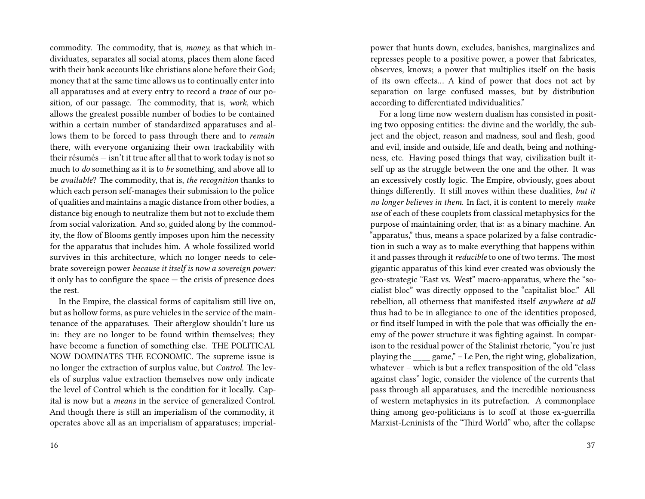commodity. The commodity, that is, *money,* as that which individuates, separates all social atoms, places them alone faced with their bank accounts like christians alone before their God; money that at the same time allows us to continually enter into all apparatuses and at every entry to record a *trace* of our position, of our passage. The commodity, that is, *work,* which allows the greatest possible number of bodies to be contained within a certain number of standardized apparatuses and allows them to be forced to pass through there and to *remain* there, with everyone organizing their own trackability with their résumés — isn't it true after all that to work today is not so much to *do* something as it is to *be* something, and above all to be *available*? The commodity, that is, *the recognition* thanks to which each person self-manages their submission to the police of qualities and maintains a magic distance from other bodies, a distance big enough to neutralize them but not to exclude them from social valorization. And so, guided along by the commodity, the flow of Blooms gently imposes upon him the necessity for the apparatus that includes him. A whole fossilized world survives in this architecture, which no longer needs to celebrate sovereign power *because it itself is now a sovereign power:* it only has to configure the space — the crisis of presence does the rest.

In the Empire, the classical forms of capitalism still live on, but as hollow forms, as pure vehicles in the service of the maintenance of the apparatuses. Their afterglow shouldn't lure us in: they are no longer to be found within themselves; they have become a function of something else. THE POLITICAL NOW DOMINATES THE ECONOMIC. The supreme issue is no longer the extraction of surplus value, but *Control*. The levels of surplus value extraction themselves now only indicate the level of Control which is the condition for it locally. Capital is now but a *means* in the service of generalized Control. And though there is still an imperialism of the commodity, it operates above all as an imperialism of apparatuses; imperialpower that hunts down, excludes, banishes, marginalizes and represses people to a positive power, a power that fabricates, observes, knows; a power that multiplies itself on the basis of its own effects… A kind of power that does not act by separation on large confused masses, but by distribution according to differentiated individualities."

For a long time now western dualism has consisted in positing two opposing entities: the divine and the worldly, the subject and the object, reason and madness, soul and flesh, good and evil, inside and outside, life and death, being and nothingness, etc. Having posed things that way, civilization built itself up as the struggle between the one and the other. It was an excessively costly logic. The Empire, obviously, goes about things differently. It still moves within these dualities, *but it no longer believes in them.* In fact, it is content to merely *make use* of each of these couplets from classical metaphysics for the purpose of maintaining order, that is: as a binary machine. An "apparatus," thus, means a space polarized by a false contradiction in such a way as to make everything that happens within it and passes through it *reducible* to one of two terms. The most gigantic apparatus of this kind ever created was obviously the geo-strategic "East vs. West" macro-apparatus, where the "socialist bloc" was directly opposed to the "capitalist bloc." All rebellion, all otherness that manifested itself *anywhere at all* thus had to be in allegiance to one of the identities proposed, or find itself lumped in with the pole that was officially the enemy of the power structure it was fighting against. In comparison to the residual power of the Stalinist rhetoric, "you're just playing the game," – Le Pen, the right wing, globalization, whatever – which is but a reflex transposition of the old "class against class" logic, consider the violence of the currents that pass through all apparatuses, and the incredible noxiousness of western metaphysics in its putrefaction. A commonplace thing among geo-politicians is to scoff at those ex-guerrilla Marxist-Leninists of the "Third World" who, after the collapse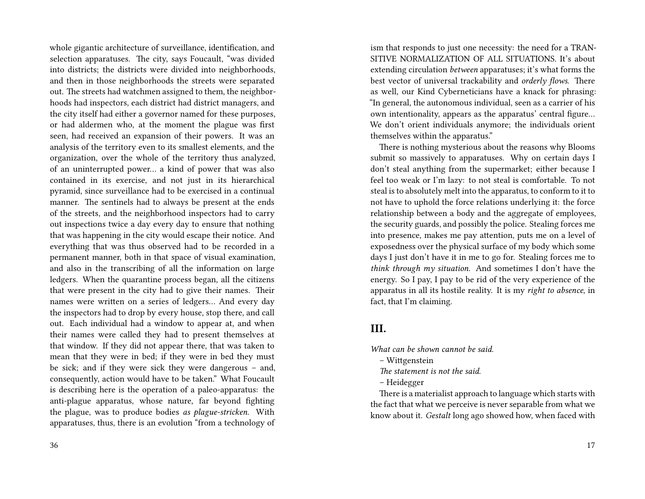whole gigantic architecture of surveillance, identification, and selection apparatuses. The city, says Foucault, "was divided into districts; the districts were divided into neighborhoods, and then in those neighborhoods the streets were separated out. The streets had watchmen assigned to them, the neighborhoods had inspectors, each district had district managers, and the city itself had either a governor named for these purposes, or had aldermen who, at the moment the plague was first seen, had received an expansion of their powers. It was an analysis of the territory even to its smallest elements, and the organization, over the whole of the territory thus analyzed, of an uninterrupted power… a kind of power that was also contained in its exercise, and not just in its hierarchical pyramid, since surveillance had to be exercised in a continual manner. The sentinels had to always be present at the ends of the streets, and the neighborhood inspectors had to carry out inspections twice a day every day to ensure that nothing that was happening in the city would escape their notice. And everything that was thus observed had to be recorded in a permanent manner, both in that space of visual examination, and also in the transcribing of all the information on large ledgers. When the quarantine process began, all the citizens that were present in the city had to give their names. Their names were written on a series of ledgers… And every day the inspectors had to drop by every house, stop there, and call out. Each individual had a window to appear at, and when their names were called they had to present themselves at that window. If they did not appear there, that was taken to mean that they were in bed; if they were in bed they must be sick; and if they were sick they were dangerous – and, consequently, action would have to be taken." What Foucault is describing here is the operation of a paleo-apparatus: the anti-plague apparatus, whose nature, far beyond fighting the plague, was to produce bodies *as plague-stricken*. With apparatuses, thus, there is an evolution "from a technology of

ism that responds to just one necessity: the need for a TRAN-SITIVE NORMALIZATION OF ALL SITUATIONS. It's about extending circulation *between* apparatuses; it's what forms the best vector of universal trackability and *orderly flows*. There as well, our Kind Cyberneticians have a knack for phrasing: "In general, the autonomous individual, seen as a carrier of his own intentionality, appears as the apparatus' central figure… We don't orient individuals anymore; the individuals orient themselves within the apparatus."

There is nothing mysterious about the reasons why Blooms submit so massively to apparatuses. Why on certain days I don't steal anything from the supermarket; either because I feel too weak or I'm lazy: to not steal is comfortable. To not steal is to absolutely melt into the apparatus, to conform to it to not have to uphold the force relations underlying it: the force relationship between a body and the aggregate of employees, the security guards, and possibly the police. Stealing forces me into presence, makes me pay attention, puts me on a level of exposedness over the physical surface of my body which some days I just don't have it in me to go for. Stealing forces me to *think through my situation*. And sometimes I don't have the energy. So I pay, I pay to be rid of the very experience of the apparatus in all its hostile reality. It is my *right to absence*, in fact, that I'm claiming.

## **III.**

*What can be shown cannot be said.*

- Wittgenstein
- *The statement is not the said.*
- Heidegger

There is a materialist approach to language which starts with the fact that what we perceive is never separable from what we know about it. *Gestalt* long ago showed how, when faced with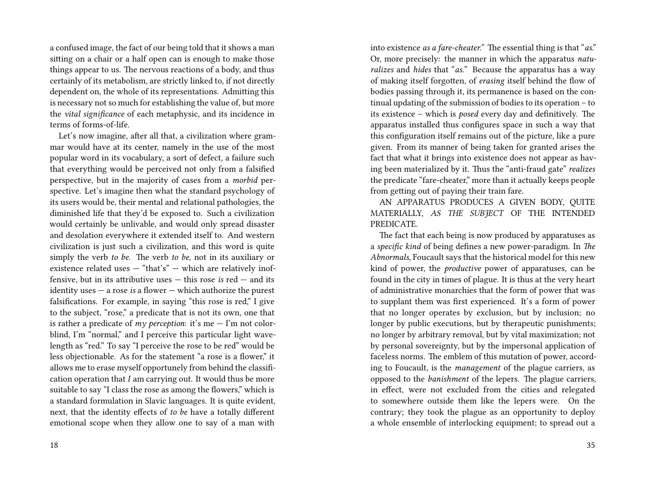a confused image, the fact of our being told that it shows a man sitting on a chair or a half open can is enough to make those things appear to us. The nervous reactions of a body, and thus certainly of its metabolism, are strictly linked to, if not directly dependent on, the whole of its representations. Admitting this is necessary not so much for establishing the value of, but more the *vital significance* of each metaphysic, and its incidence in terms of forms-of-life.

Let's now imagine, after all that, a civilization where grammar would have at its center, namely in the use of the most popular word in its vocabulary, a sort of defect, a failure such that everything would be perceived not only from a falsified perspective, but in the majority of cases from a *morbid* perspective. Let's imagine then what the standard psychology of its users would be, their mental and relational pathologies, the diminished life that they'd be exposed to. Such a civilization would certainly be unlivable, and would only spread disaster and desolation everywhere it extended itself to. And western civilization is just such a civilization, and this word is quite simply the verb *to be.* The verb *to be*, not in its auxiliary or existence related uses — "that's" — which are relatively inoffensive, but in its attributive uses — this rose *is* red — and its identity uses — a rose *is* a flower — which authorize the purest falsifications. For example, in saying "this rose is red," I give to the subject, "rose," a predicate that is not its own, one that is rather a predicate of  $my$  perception: it's me  $-$  I'm not colorblind, I'm "normal," and I perceive this particular light wavelength as "red." To say "I perceive the rose to be red" would be less objectionable. As for the statement "a rose is a flower," it allows me to erase myself opportunely from behind the classification operation that *I* am carrying out. It would thus be more suitable to say "I class the rose as among the flowers," which is a standard formulation in Slavic languages. It is quite evident, next, that the identity effects of *to be* have a totally different emotional scope when they allow one to say of a man with

into existence *as a fare-cheater.*" The essential thing is that "*as*." Or, more precisely: the manner in which the apparatus *naturalizes* and *hides* that "*as.*" Because the apparatus has a way of making itself forgotten, of *erasing* itself behind the flow of bodies passing through it, its permanence is based on the continual updating of the submission of bodies to its operation – to its existence – which is *posed* every day and definitively. The apparatus installed thus configures space in such a way that this configuration itself remains out of the picture, like a pure given. From its manner of being taken for granted arises the fact that what it brings into existence does not appear as having been materialized by it. Thus the "anti-fraud gate" *realizes* the predicate "fare-cheater," more than it actually keeps people from getting out of paying their train fare.

AN APPARATUS PRODUCES A GIVEN BODY, QUITE MATERIALLY, *AS THE SUBJECT* OF THE INTENDED PREDICATE.

The fact that each being is now produced by apparatuses as a *specific kind* of being defines a new power-paradigm. In *The Abnormals*, Foucault says that the historical model for this new kind of power, the *productive* power of apparatuses, can be found in the city in times of plague. It is thus at the very heart of administrative monarchies that the form of power that was to supplant them was first experienced. It's a form of power that no longer operates by exclusion, but by inclusion; no longer by public executions, but by therapeutic punishments; no longer by arbitrary removal, but by vital maximization; not by personal sovereignty, but by the impersonal application of faceless norms. The emblem of this mutation of power, according to Foucault, is the *management* of the plague carriers, as opposed to the *banishment* of the lepers. The plague carriers, in effect, were not excluded from the cities and relegated to somewhere outside them like the lepers were. On the contrary; they took the plague as an opportunity to deploy a whole ensemble of interlocking equipment; to spread out a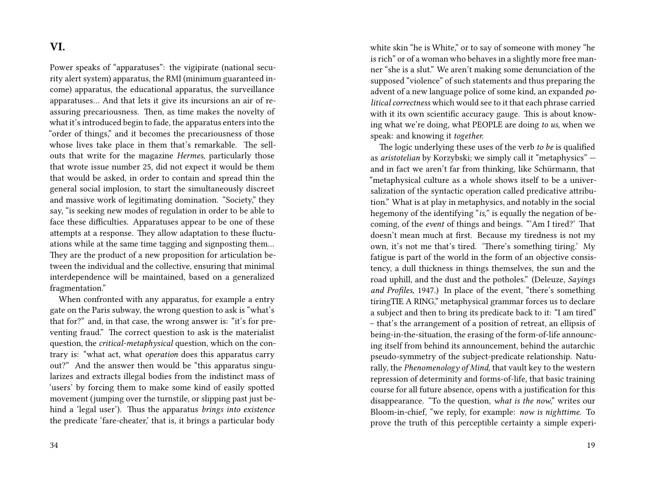# **VI.**

Power speaks of "apparatuses": the vigipirate (national security alert system) apparatus, the RMI (minimum guaranteed income) apparatus, the educational apparatus, the surveillance apparatuses… And that lets it give its incursions an air of reassuring precariousness. Then, as time makes the novelty of what it's introduced begin to fade, the apparatus enters into the "order of things," and it becomes the precariousness of those whose lives take place in them that's remarkable. The sellouts that write for the magazine *Hermes*, particularly those that wrote issue number 25, did not expect it would be them that would be asked, in order to contain and spread thin the general social implosion, to start the simultaneously discreet and massive work of legitimating domination. "Society," they say, "is seeking new modes of regulation in order to be able to face these difficulties. Apparatuses appear to be one of these attempts at a response. They allow adaptation to these fluctuations while at the same time tagging and signposting them… They are the product of a new proposition for articulation between the individual and the collective, ensuring that minimal interdependence will be maintained, based on a generalized fragmentation."

When confronted with any apparatus, for example a entry gate on the Paris subway, the wrong question to ask is "what's that for?" and, in that case, the wrong answer is: "it's for preventing fraud." The correct question to ask is the materialist question, the *critical-metaphysical* question, which on the contrary is: "what act, what *operation* does this apparatus carry out?" And the answer then would be "this apparatus singularizes and extracts illegal bodies from the indistinct mass of 'users' by forcing them to make some kind of easily spotted movement (jumping over the turnstile, or slipping past just behind a 'legal user'). Thus the apparatus *brings into existence* the predicate 'fare-cheater,' that is, it brings a particular body

white skin "he is White," or to say of someone with money "he is rich" or of a woman who behaves in a slightly more free manner "she is a slut." We aren't making some denunciation of the supposed "violence" of such statements and thus preparing the advent of a new language police of some kind, an expanded *political correctness* which would see to it that each phrase carried with it its own scientific accuracy gauge. This is about knowing what we're doing, what PEOPLE are doing *to us*, when we speak: and knowing it *together.*

The logic underlying these uses of the verb *to be* is qualified as *aristotelian* by Korzybski; we simply call it "metaphysics" and in fact we aren't far from thinking, like Schürmann, that "metaphysical culture as a whole shows itself to be a universalization of the syntactic operation called predicative attribution." What is at play in metaphysics, and notably in the social hegemony of the identifying "*is,*" is equally the negation of becoming, of the *event* of things and beings. "'Am I tired?' That doesn't mean much at first. Because my tiredness is not my own, it's not me that's tired. 'There's something tiring.' My fatigue is part of the world in the form of an objective consistency, a dull thickness in things themselves, the sun and the road uphill, and the dust and the potholes." (Deleuze, *Sayings and Profiles,* 1947.) In place of the event, "there's something tiringTIE A RING," metaphysical grammar forces us to declare a subject and then to bring its predicate back to it: "I am tired" – that's the arrangement of a position of retreat, an ellipsis of being-in-the-situation, the erasing of the form-of-life announcing itself from behind its announcement, behind the autarchic pseudo-symmetry of the subject-predicate relationship. Naturally, the *Phenomenology of Mind,* that vault key to the western repression of determinity and forms-of-life, that basic training course for all future absence, opens with a justification for this disappearance. "To the question, *what is the now*," writes our Bloom-in-chief, "we reply, for example: *now is nighttime.* To prove the truth of this perceptible certainty a simple experi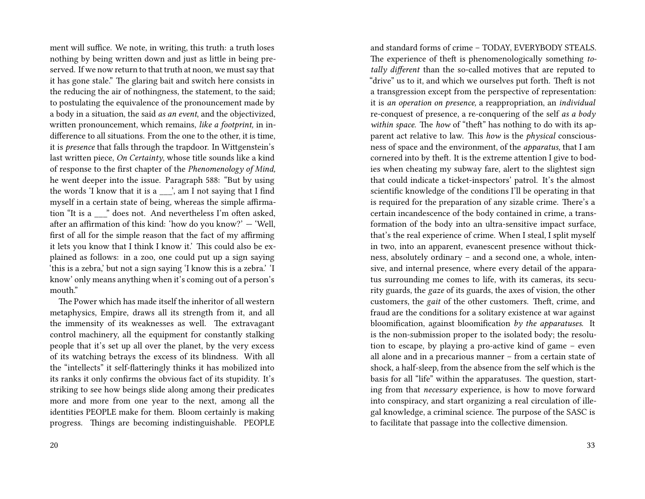ment will suffice. We note, in writing, this truth: a truth loses nothing by being written down and just as little in being preserved. If we now return to that truth at noon, we must say that it has gone stale." The glaring bait and switch here consists in the reducing the air of nothingness, the statement, to the said; to postulating the equivalence of the pronouncement made by a body in a situation, the said *as an event*, and the objectivized, written pronouncement, which remains, *like a footprint,* in indifference to all situations. From the one to the other, it is time, it is *presence* that falls through the trapdoor. In Wittgenstein's last written piece, *On Certainty*, whose title sounds like a kind of response to the first chapter of the *Phenomenology of Mind,* he went deeper into the issue. Paragraph 588: "But by using the words  $'I$  know that it is a  $\ldots$ , am I not saying that I find myself in a certain state of being, whereas the simple affirmation "It is a \_\_\_" does not. And nevertheless I'm often asked, after an affirmation of this kind: 'how do you know?' — 'Well, first of all for the simple reason that the fact of my affirming it lets you know that I think I know it.' This could also be explained as follows: in a zoo, one could put up a sign saying 'this is a zebra,' but not a sign saying 'I know this is a zebra.' 'I know' only means anything when it's coming out of a person's mouth."

The Power which has made itself the inheritor of all western metaphysics, Empire, draws all its strength from it, and all the immensity of its weaknesses as well. The extravagant control machinery, all the equipment for constantly stalking people that it's set up all over the planet, by the very excess of its watching betrays the excess of its blindness. With all the "intellects" it self-flatteringly thinks it has mobilized into its ranks it only confirms the obvious fact of its stupidity. It's striking to see how beings slide along among their predicates more and more from one year to the next, among all the identities PEOPLE make for them. Bloom certainly is making progress. Things are becoming indistinguishable. PEOPLE and standard forms of crime – TODAY, EVERYBODY STEALS. The experience of theft is phenomenologically something *totally different* than the so-called motives that are reputed to "drive" us to it, and which we ourselves put forth. Theft is not a transgression except from the perspective of representation: it is *an operation on presence,* a reappropriation, an *individual* re-conquest of presence, a re-conquering of the self *as a body within space*. The *how* of "theft" has nothing to do with its apparent act relative to law. This *how* is the *physical* consciousness of space and the environment, of the *apparatus,* that I am cornered into by theft. It is the extreme attention I give to bodies when cheating my subway fare, alert to the slightest sign that could indicate a ticket-inspectors' patrol. It's the almost scientific knowledge of the conditions I'll be operating in that is required for the preparation of any sizable crime. There's a certain incandescence of the body contained in crime, a transformation of the body into an ultra-sensitive impact surface, that's the real experience of crime. When I steal, I split myself in two, into an apparent, evanescent presence without thickness, absolutely ordinary – and a second one, a whole, intensive, and internal presence, where every detail of the apparatus surrounding me comes to life, with its cameras, its security guards, the *gaze* of its guards, the axes of vision, the other customers, the *gait* of the other customers. Theft, crime, and fraud are the conditions for a solitary existence at war against bloomification, against bloomification *by the apparatuses*. It is the non-submission proper to the isolated body; the resolution to escape, by playing a pro-active kind of game – even all alone and in a precarious manner – from a certain state of shock, a half-sleep, from the absence from the self which is the basis for all "life" within the apparatuses. The question, starting from that *necessary* experience, is how to move forward into conspiracy, and start organizing a real circulation of illegal knowledge, a criminal science. The purpose of the SASC is to facilitate that passage into the collective dimension.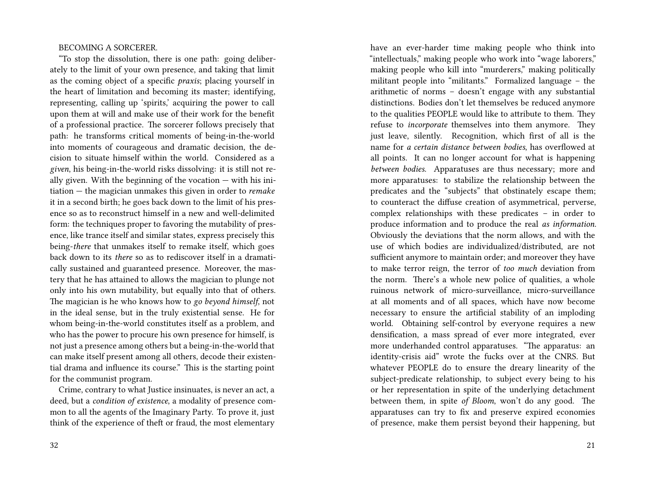#### BECOMING A SORCERER.

"To stop the dissolution, there is one path: going deliberately to the limit of your own presence, and taking that limit as the coming object of a specific *praxis*; placing yourself in the heart of limitation and becoming its master; identifying, representing, calling up 'spirits,' acquiring the power to call upon them at will and make use of their work for the benefit of a professional practice. The sorcerer follows precisely that path: he transforms critical moments of being-in-the-world into moments of courageous and dramatic decision, the decision to situate himself within the world. Considered as a *given*, his being-in-the-world risks dissolving: it is still not really given. With the beginning of the vocation — with his initiation — the magician unmakes this given in order to *remake* it in a second birth; he goes back down to the limit of his presence so as to reconstruct himself in a new and well-delimited form: the techniques proper to favoring the mutability of presence, like trance itself and similar states, express precisely this being-*there* that unmakes itself to remake itself, which goes back down to its *there* so as to rediscover itself in a dramatically sustained and guaranteed presence. Moreover, the mastery that he has attained to allows the magician to plunge not only into his own mutability, but equally into that of others. The magician is he who knows how to *go beyond himself*, not in the ideal sense, but in the truly existential sense. He for whom being-in-the-world constitutes itself as a problem, and who has the power to procure his own presence for himself, is not just a presence among others but a being-in-the-world that can make itself present among all others, decode their existential drama and influence its course." This is the starting point for the communist program.

Crime, contrary to what Justice insinuates, is never an act, a deed, but a *condition of existence*, a modality of presence common to all the agents of the Imaginary Party. To prove it, just think of the experience of theft or fraud, the most elementary

have an ever-harder time making people who think into "intellectuals," making people who work into "wage laborers," making people who kill into "murderers," making politically militant people into "militants." Formalized language – the arithmetic of norms – doesn't engage with any substantial distinctions. Bodies don't let themselves be reduced anymore to the qualities PEOPLE would like to attribute to them. They refuse to *incorporate* themselves into them anymore. They just leave, silently. Recognition, which first of all is the name for *a certain distance between bodies*, has overflowed at all points. It can no longer account for what is happening *between bodies*. Apparatuses are thus necessary; more and more apparatuses: to stabilize the relationship between the predicates and the "subjects" that obstinately escape them; to counteract the diffuse creation of asymmetrical, perverse, complex relationships with these predicates – in order to produce information and to produce the real *as information*. Obviously the deviations that the norm allows, and with the use of which bodies are individualized/distributed, are not sufficient anymore to maintain order; and moreover they have to make terror reign, the terror of *too much* deviation from the norm. There's a whole new police of qualities, a whole ruinous network of micro-surveillance, micro-surveillance at all moments and of all spaces, which have now become necessary to ensure the artificial stability of an imploding world. Obtaining self-control by everyone requires a new densification, a mass spread of ever more integrated, ever more underhanded control apparatuses. "The apparatus: an identity-crisis aid" wrote the fucks over at the CNRS. But whatever PEOPLE do to ensure the dreary linearity of the subject-predicate relationship, to subject every being to his or her representation in spite of the underlying detachment between them, in spite *of Bloom*, won't do any good. The apparatuses can try to fix and preserve expired economies of presence, make them persist beyond their happening, but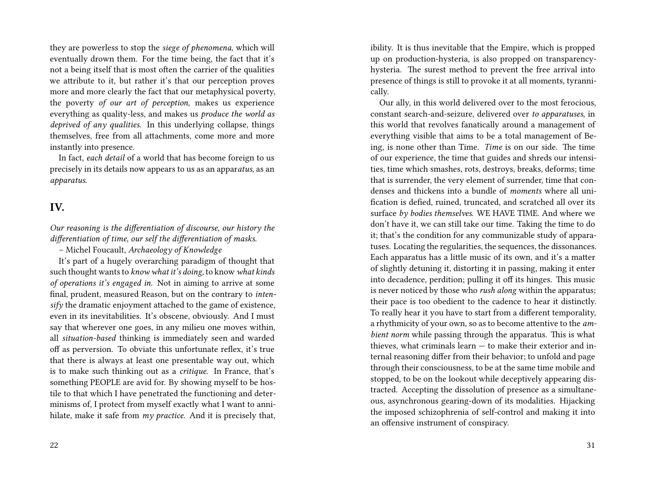they are powerless to stop the *siege of phenomena*, which will eventually drown them. For the time being, the fact that it's not a being itself that is most often the carrier of the qualities we attribute to it, but rather it's that our perception proves more and more clearly the fact that our metaphysical poverty, the poverty *of our art of perception*, makes us experience everything as quality-less, and makes us *produce the world as deprived of any qualities*. In this underlying collapse, things themselves, free from all attachments, come more and more instantly into presence.

In fact, *each detail* of a world that has become foreign to us precisely in its details now appears to us as an appar*atus,* as an *apparatus.*

# **IV.**

*Our reasoning is the differentiation of discourse, our history the differentiation of time, our self the differentiation of masks.*

– Michel Foucault, *Archaeology of Knowledge*

It's part of a hugely overarching paradigm of thought that such thought wants to *know what it's doing,* to know *what kinds of operations it's engaged in.* Not in aiming to arrive at some final, prudent, measured Reason, but on the contrary to *intensify* the dramatic enjoyment attached to the game of existence, even in its inevitabilities. It's obscene, obviously. And I must say that wherever one goes, in any milieu one moves within, all *situation-based* thinking is immediately seen and warded off as perversion. To obviate this unfortunate reflex, it's true that there is always at least one presentable way out, which is to make such thinking out as a *critique*. In France, that's something PEOPLE are avid for. By showing myself to be hostile to that which I have penetrated the functioning and determinisms of, I protect from myself exactly what I want to annihilate, make it safe from *my practice.* And it is precisely that,

ibility. It is thus inevitable that the Empire, which is propped up on production-hysteria, is also propped on transparencyhysteria. The surest method to prevent the free arrival into presence of things is still to provoke it at all moments, tyrannically.

Our ally, in this world delivered over to the most ferocious, constant search-and-seizure, delivered over *to apparatuses*, in this world that revolves fanatically around a management of everything visible that aims to be a total management of Being, is none other than Time. *Time* is on our side. The time of our experience, the time that guides and shreds our intensities, time which smashes, rots, destroys, breaks, deforms; time that is surrender, the very element of surrender, time that condenses and thickens into a bundle of *moments* where all unification is defied, ruined, truncated, and scratched all over its surface *by bodies themselves*. WE HAVE TIME. And where we don't have it, we can still take our time. Taking the time to do it; that's the condition for any communizable study of apparatuses. Locating the regularities, the sequences, the dissonances. Each apparatus has a little music of its own, and it's a matter of slightly detuning it, distorting it in passing, making it enter into decadence, perdition; pulling it off its hinges. This music is never noticed by those who *rush along* within the apparatus; their pace is too obedient to the cadence to hear it distinctly. To really hear it you have to start from a different temporality, a rhythmicity of your own, so as to become attentive to the *ambient norm* while passing through the apparatus. This is what thieves, what criminals learn — to make their exterior and internal reasoning differ from their behavior; to unfold and page through their consciousness, to be at the same time mobile and stopped, to be on the lookout while deceptively appearing distracted. Accepting the dissolution of presence as a simultaneous, asynchronous gearing-down of its modalities. Hijacking the imposed schizophrenia of self-control and making it into an offensive instrument of conspiracy.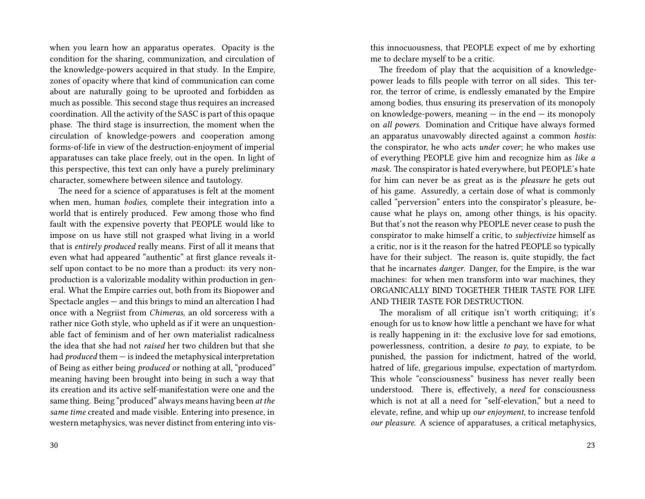when you learn how an apparatus operates. Opacity is the condition for the sharing, communization, and circulation of the knowledge-powers acquired in that study. In the Empire, zones of opacity where that kind of communication can come about are naturally going to be uprooted and forbidden as much as possible. This second stage thus requires an increased coordination. All the activity of the SASC is part of this opaque phase. The third stage is insurrection, the moment when the circulation of knowledge-powers and cooperation among forms-of-life in view of the destruction-enjoyment of imperial apparatuses can take place freely, out in the open. In light of this perspective, this text can only have a purely preliminary character, somewhere between silence and tautology.

The need for a science of apparatuses is felt at the moment when men, human *bodies*, complete their integration into a world that is entirely produced. Few among those who find fault with the expensive poverty that PEOPLE would like to impose on us have still not grasped what living in a world that is *entirely produced* really means. First of all it means that even what had appeared "authentic" at first glance reveals itself upon contact to be no more than a product: its very nonproduction is a valorizable modality within production in general. What the Empire carries out, both from its Biopower and Spectacle angles — and this brings to mind an altercation I had once with a Negriist from *Chimeras,* an old sorceress with a rather nice Goth style, who upheld as if it were an unquestionable fact of feminism and of her own materialist radicalness the idea that she had not *raised* her two children but that she had *produced* them — is indeed the metaphysical interpretation of Being as either being *produced* or nothing at all, "produced" meaning having been brought into being in such a way that its creation and its active self-manifestation were one and the same thing. Being "produced" always means having been *at the same time* created and made visible. Entering into presence, in western metaphysics, was never distinct from entering into visthis innocuousness, that PEOPLE expect of me by exhorting me to declare myself to be a critic.

The freedom of play that the acquisition of a knowledgepower leads to fills people with terror on all sides. This terror, the terror of crime, is endlessly emanated by the Empire among bodies, thus ensuring its preservation of its monopoly on knowledge-powers, meaning  $-$  in the end  $-$  its monopoly on *all powers*. Domination and Critique have always formed an apparatus unavowably directed against a common *hostis*: the conspirator, he who acts *under cover*; he who makes use of everything PEOPLE give him and recognize him as *like a mask.* The conspirator is hated everywhere, but PEOPLE's hate for him can never be as great as is the *pleasure* he gets out of his game. Assuredly, a certain dose of what is commonly called "perversion" enters into the conspirator's pleasure, because what he plays on, among other things, is his opacity. But that's not the reason why PEOPLE never cease to push the conspirator to make himself a critic, to *subjectivize* himself as a critic, nor is it the reason for the hatred PEOPLE so typically have for their subject. The reason is, quite stupidly, the fact that he incarnates *danger*. Danger, for the Empire, is the war machines: for when men transform into war machines, they ORGANICALLY BIND TOGETHER THEIR TASTE FOR LIFE AND THEIR TASTE FOR DESTRUCTION.

The moralism of all critique isn't worth critiquing; it's enough for us to know how little a penchant we have for what is really happening in it: the exclusive love for sad emotions, powerlessness, contrition, a desire *to pay*, to expiate, to be punished, the passion for indictment, hatred of the world, hatred of life, gregarious impulse, expectation of martyrdom. This whole "consciousness" business has never really been understood. There is, effectively, a *need* for consciousness which is not at all a need for "self-elevation," but a need to elevate, refine, and whip up *our enjoyment*, to increase tenfold *our pleasure*. A science of apparatuses, a critical metaphysics,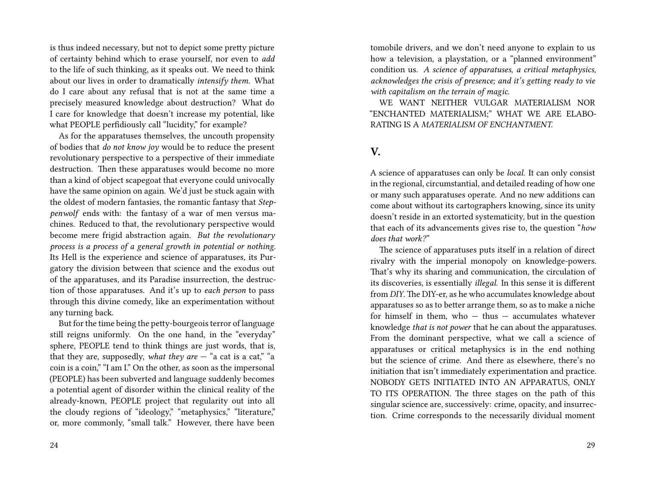is thus indeed necessary, but not to depict some pretty picture of certainty behind which to erase yourself, nor even to *add* to the life of such thinking, as it speaks out. We need to think about our lives in order to dramatically *intensify them*. What do I care about any refusal that is not at the same time a precisely measured knowledge about destruction? What do I care for knowledge that doesn't increase my potential, like what PEOPLE perfidiously call "lucidity," for example?

As for the apparatuses themselves, the uncouth propensity of bodies that *do not know joy* would be to reduce the present revolutionary perspective to a perspective of their immediate destruction. Then these apparatuses would become no more than a kind of object scapegoat that everyone could univocally have the same opinion on again. We'd just be stuck again with the oldest of modern fantasies, the romantic fantasy that *Steppenwolf* ends with: the fantasy of a war of men versus machines. Reduced to that, the revolutionary perspective would become mere frigid abstraction again. *But the revolutionary process is a process of a general growth in potential or nothing.* Its Hell is the experience and science of apparatuses, its Purgatory the division between that science and the exodus out of the apparatuses, and its Paradise insurrection, the destruction of those apparatuses. And it's up to *each person* to pass through this divine comedy, like an experimentation without any turning back.

But for the time being the petty-bourgeois terror of language still reigns uniformly. On the one hand, in the "everyday" sphere, PEOPLE tend to think things are just words, that is, that they are, supposedly, *what they are*  $-$  "a cat is a cat," "a coin is a coin," "I am I." On the other, as soon as the impersonal (PEOPLE) has been subverted and language suddenly becomes a potential agent of disorder within the clinical reality of the already-known, PEOPLE project that regularity out into all the cloudy regions of "ideology," "metaphysics," "literature," or, more commonly, "small talk." However, there have been

tomobile drivers, and we don't need anyone to explain to us how a television, a playstation, or a "planned environment" condition us. *A science of apparatuses, a critical metaphysics, acknowledges the crisis of presence; and it's getting ready to vie with capitalism on the terrain of magic.*

WE WANT NEITHER VULGAR MATERIALISM NOR "ENCHANTED MATERIALISM;" WHAT WE ARE ELABO-RATING IS A *MATERIALISM OF ENCHANTMENT.*

### **V.**

A science of apparatuses can only be *local.* It can only consist in the regional, circumstantial, and detailed reading of how one or many such apparatuses operate. And no new additions can come about without its cartographers knowing, since its unity doesn't reside in an extorted systematicity, but in the question that each of its advancements gives rise to, the question "*how does that work?*"

The science of apparatuses puts itself in a relation of direct rivalry with the imperial monopoly on knowledge-powers. That's why its sharing and communication, the circulation of its discoveries, is essentially *illegal*. In this sense it is different from *DIY*. The DIY-er, as he who accumulates knowledge about apparatuses so as to better arrange them, so as to make a niche for himself in them, who  $-$  thus  $-$  accumulates whatever knowledge *that is not power* that he can about the apparatuses*.* From the dominant perspective, what we call a science of apparatuses or critical metaphysics is in the end nothing but the science of crime. And there as elsewhere, there's no initiation that isn't immediately experimentation and practice. NOBODY GETS INITIATED INTO AN APPARATUS, ONLY TO ITS OPERATION*.* The three stages on the path of this singular science are, successively: crime, opacity, and insurrection. Crime corresponds to the necessarily dividual moment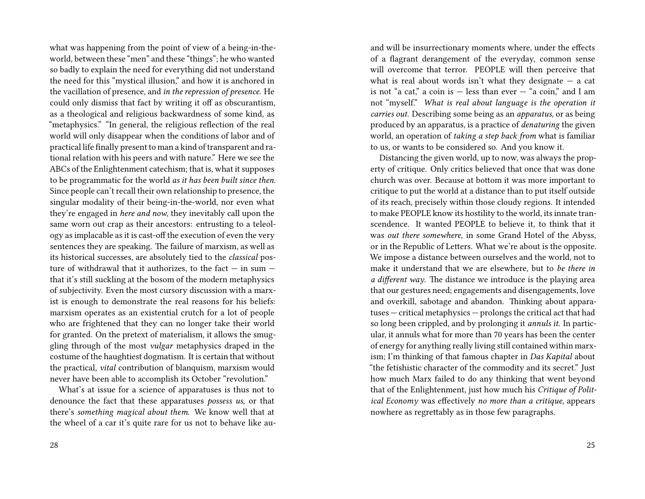what was happening from the point of view of a being-in-theworld, between these "men" and these "things"; he who wanted so badly to explain the need for everything did not understand the need for this "mystical illusion," and how it is anchored in the vacillation of presence, and *in the repression of presence*. He could only dismiss that fact by writing it off as obscurantism, as a theological and religious backwardness of some kind, as "metaphysics." "In general, the religious reflection of the real world will only disappear when the conditions of labor and of practical life finally present to man a kind of transparent and rational relation with his peers and with nature." Here we see the ABCs of the Enlightenment catechism; that is, what it supposes to be programmatic for the world *as it has been built since then*. Since people can't recall their own relationship to presence, the singular modality of their being-in-the-world, nor even what they're engaged in *here and now*, they inevitably call upon the same worn out crap as their ancestors: entrusting to a teleology as implacable as it is cast-off the execution of even the very sentences they are speaking. The failure of marxism, as well as its historical successes, are absolutely tied to the *classical* posture of withdrawal that it authorizes, to the fact  $-$  in sum  $$ that it's still suckling at the bosom of the modern metaphysics of subjectivity. Even the most cursory discussion with a marxist is enough to demonstrate the real reasons for his beliefs: marxism operates as an existential crutch for a lot of people who are frightened that they can no longer take their world for granted. On the pretext of materialism, it allows the smuggling through of the most *vulgar* metaphysics draped in the costume of the haughtiest dogmatism. It is certain that without the practical, *vital* contribution of blanquism, marxism would never have been able to accomplish its October "revolution."

What's at issue for a science of apparatuses is thus not to denounce the fact that these apparatuses *possess us*, or that there's *something magical about them*. We know well that at the wheel of a car it's quite rare for us not to behave like auand will be insurrectionary moments where, under the effects of a flagrant derangement of the everyday, common sense will overcome that terror. PEOPLE will then perceive that what is real about words isn't what they designate  $-$  a cat is not "a cat," a coin is  $-$  less than ever  $-$  "a coin," and I am not "myself." *What is real about language is the operation it carries out.* Describing some being as an *apparatus*, or as being produced by an apparatus, is a practice of *denaturing* the given world, an operation of *taking a step back from* what is familiar to us, or wants to be considered so. And you know it.

Distancing the given world, up to now, was always the property of critique. Only critics believed that once that was done church was over. Because at bottom it was more important to critique to put the world at a distance than to put itself outside of its reach, precisely within those cloudy regions. It intended to make PEOPLE know its hostility to the world, its innate transcendence. It wanted PEOPLE to believe it, to think that it was *out there somewhere*, in some Grand Hotel of the Abyss, or in the Republic of Letters. What we're about is the opposite. We impose a distance between ourselves and the world, not to make it understand that we are elsewhere, but to *be there in a different way*. The distance we introduce is the playing area that our gestures need; engagements and disengagements, love and overkill, sabotage and abandon. Thinking about apparatuses — critical metaphysics — prolongs the critical act that had so long been crippled, and by prolonging it *annuls it*. In particular, it annuls what for more than 70 years has been the center of energy for anything really living still contained within marxism; I'm thinking of that famous chapter in *Das Kapital* about "the fetishistic character of the commodity and its secret." Just how much Marx failed to do any thinking that went beyond that of the Enlightenment, just how much his *Critique of Political Economy* was effectively *no more than a critique*, appears nowhere as regrettably as in those few paragraphs.